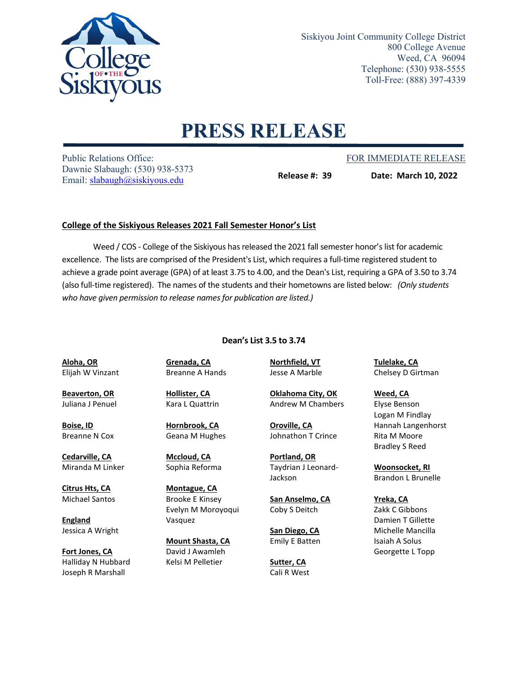

Siskiyou Joint Community College District 800 College Avenue Weed, CA 96094 Telephone: (530) 938-5555 Toll-Free: (888) 397-4339

## **PRESS RELEASE**

Public Relations Office: The Public Relations Office: FOR IMMEDIATE RELEASE Dawnie Slabaugh: (530) 938-5373 Email: [slabaugh@siskiyous.edu](mailto:slabaugh@siskiyous.edu)

**Release #: 39 Date: March 10, 2022**

## **College of the Siskiyous Releases 2021 Fall Semester Honor's List**

Weed / COS - College of the Siskiyous has released the 2021 fall semester honor's list for academic excellence. The lists are comprised of the President's List, which requires a full-time registered student to achieve a grade point average (GPA) of at least 3.75 to 4.00, and the Dean's List, requiring a GPA of 3.50 to 3.74 (also full-time registered). The names of the students and their hometowns are listed below: *(Only students who have given permission to release names for publication are listed.)*

## **Dean's List 3.5 to 3.74**

**Aloha, OR** Elijah W Vinzant

**Beaverton, OR** Juliana J Penuel

**Boise, ID** Breanne N Cox

**Cedarville, CA** Miranda M Linker

**Citrus Hts, CA** Michael Santos

**England** Jessica A Wright

**Fort Jones, CA** Halliday N Hubbard Joseph R Marshall

**Grenada, CA** Breanne A Hands

**Hollister, CA** Kara L Quattrin

**Hornbrook, CA** Geana M Hughes

**Mccloud, CA** Sophia Reforma

**Montague, CA** Brooke E Kinsey Evelyn M Moroyoqui Vasquez

**Mount Shasta, CA** David J Awamleh Kelsi M Pelletier

**Oklahoma City, OK** Andrew M Chambers

**Northfield, VT** Jesse A Marble

**Oroville, CA** Johnathon T Crince

**Portland, OR** Taydrian J Leonard-Jackson

**San Anselmo, CA** Coby S Deitch

**San Diego, CA** Emily E Batten

**Sutter, CA** Cali R West **Tulelake, CA** Chelsey D Girtman

**Weed, CA** Elyse Benson Logan M Findlay Hannah Langenhorst Rita M Moore Bradley S Reed

**Woonsocket, RI** Brandon L Brunelle

**Yreka, CA** Zakk C Gibbons Damien T Gillette Michelle Mancilla Isaiah A Solus Georgette L Topp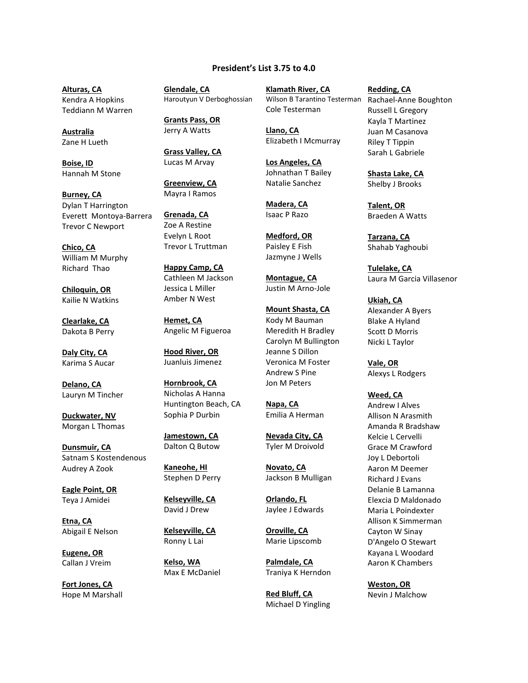## **President's List 3.75 to 4.0**

**Alturas, CA** Kendra A Hopkins Teddiann M Warren

**Australia** Zane H Lueth

**Boise, ID** Hannah M Stone

**Burney, CA** Dylan T Harrington Everett Montoya-Barrera Trevor C Newport

**Chico, CA** William M Murphy Richard Thao

**Chiloquin, OR** Kailie N Watkins

**Clearlake, CA** Dakota B Perry

**Daly City, CA** Karima S Aucar

**Delano, CA** Lauryn M Tincher

**Duckwater, NV** Morgan L Thomas

**Dunsmuir, CA** Satnam S Kostendenous Audrey A Zook

**Eagle Point, OR** Teya J Amidei

**Etna, CA** Abigail E Nelson

**Eugene, OR** Callan J Vreim

**Fort Jones, CA** Hope M Marshall **Glendale, CA** Haroutyun V Derboghossian

**Grants Pass, OR** Jerry A Watts

**Grass Valley, CA** Lucas M Arvay

**Greenview, CA** Mayra I Ramos

**Grenada, CA** Zoe A Restine Evelyn L Root Trevor L Truttman

**Happy Camp, CA** Cathleen M Jackson Jessica L Miller Amber N West

**Hemet, CA** Angelic M Figueroa

**Hood River, OR** Juanluis Jimenez

**Hornbrook, CA** Nicholas A Hanna Huntington Beach, CA Sophia P Durbin

**Jamestown, CA** Dalton Q Butow

**Kaneohe, HI** Stephen D Perry

**Kelseyville, CA** David J Drew

**Kelseyville, CA** Ronny L Lai

**Kelso, WA** Max E McDaniel **Klamath River, CA** Wilson B Tarantino Testerman Cole Testerman

**Llano, CA** Elizabeth I Mcmurray

**Los Angeles, CA** Johnathan T Bailey Natalie Sanchez

**Madera, CA** Isaac P Razo

**Medford, OR** Paisley E Fish Jazmyne J Wells

**Montague, CA** Justin M Arno-Jole

**Mount Shasta, CA** Kody M Bauman Meredith H Bradley Carolyn M Bullington Jeanne S Dillon Veronica M Foster Andrew S Pine Jon M Peters

**Napa, CA** Emilia A Herman

**Nevada City, CA** Tyler M Droivold

**Novato, CA** Jackson B Mulligan

**Orlando, FL** Jaylee J Edwards

**Oroville, CA** Marie Lipscomb

**Palmdale, CA** Traniya K Herndon

**Red Bluff, CA** Michael D Yingling **Redding, CA** Rachael-Anne Boughton Russell L Gregory Kayla T Martinez Juan M Casanova Riley T Tippin Sarah L Gabriele

**Shasta Lake, CA** Shelby J Brooks

**Talent, OR** Braeden A Watts

**Tarzana, CA** Shahab Yaghoubi

**Tulelake, CA** Laura M Garcia Villasenor

**Ukiah, CA** Alexander A Byers Blake A Hyland Scott D Morris Nicki L Taylor

**Vale, OR** Alexys L Rodgers

**Weed, CA** Andrew I Alves Allison N Arasmith Amanda R Bradshaw Kelcie L Cervelli Grace M Crawford Joy L Debortoli Aaron M Deemer Richard J Evans Delanie B Lamanna Elexcia D Maldonado Maria L Poindexter Allison K Simmerman Cayton W Sinay D'Angelo O Stewart Kayana L Woodard Aaron K Chambers

**Weston, OR** Nevin J Malchow